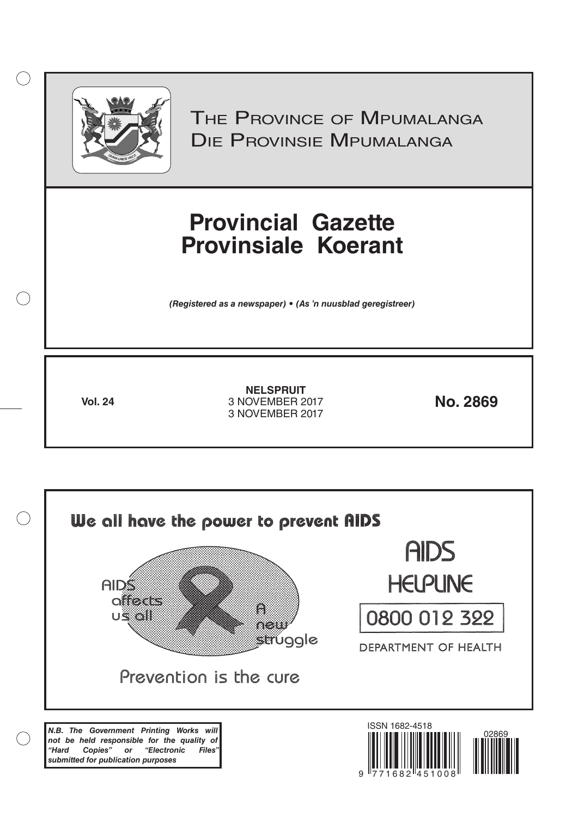

 $( )$ 

THE PROVINCE OF MPUMALANGA Die Provinsie Mpumalanga

# **Provincial Gazette Provinsiale Koerant**

*(Registered as a newspaper) • (As 'n nuusblad geregistreer)*

**Vol. 24 No. 2869** 3 NOVEMBER 2017 **NELSPRUIT** 3 NOVEMBER 2017

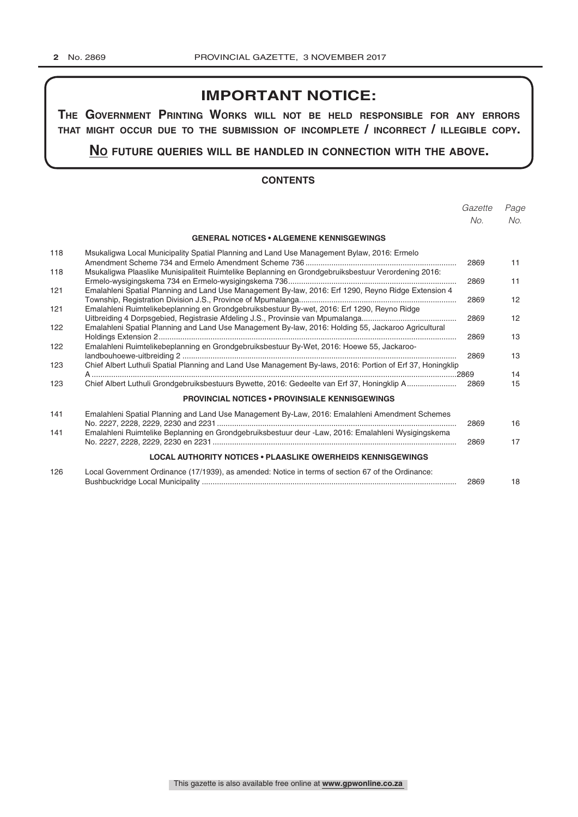## **IMPORTANT NOTICE:**

**The GovernmenT PrinTinG Works Will noT be held resPonsible for any errors ThaT miGhT occur due To The submission of incomPleTe / incorrecT / illeGible coPy.**

**no fuTure queries Will be handled in connecTion WiTh The above.**

## **CONTENTS**

|            |                                                                                                                                                                                                    | Gazette | Page              |
|------------|----------------------------------------------------------------------------------------------------------------------------------------------------------------------------------------------------|---------|-------------------|
|            |                                                                                                                                                                                                    | No.     | No.               |
|            | <b>GENERAL NOTICES • ALGEMENE KENNISGEWINGS</b>                                                                                                                                                    |         |                   |
| 118        | Msukaligwa Local Municipality Spatial Planning and Land Use Management Bylaw, 2016: Ermelo                                                                                                         | 2869    | 11                |
| 118        | Msukaligwa Plaaslike Munisipaliteit Ruimtelike Beplanning en Grondgebruiksbestuur Verordening 2016:                                                                                                | 2869    | 11                |
| 121<br>121 | Emalahleni Spatial Planning and Land Use Management By-law, 2016: Erf 1290, Reyno Ridge Extension 4<br>Emalahleni Ruimtelikebeplanning en Grondgebruiksbestuur By-wet, 2016: Erf 1290, Reyno Ridge | 2869    | $12 \overline{ }$ |
| 122        | Emalahleni Spatial Planning and Land Use Management By-law, 2016: Holding 55, Jackaroo Agricultural                                                                                                | 2869    | 12                |
| 122        | Emalahleni Ruimtelikebeplanning en Grondgebruiksbestuur By-Wet, 2016: Hoewe 55, Jackaroo-                                                                                                          | 2869    | 13                |
| 123        | Chief Albert Luthuli Spatial Planning and Land Use Management By-laws, 2016: Portion of Erf 37, Honingklip                                                                                         | 2869    | 13                |
|            |                                                                                                                                                                                                    |         | 14                |
| 123        | Chief Albert Luthuli Grondgebruiksbestuurs Bywette, 2016: Gedeelte van Erf 37, Honingklip A                                                                                                        | 2869    | 15                |
|            | <b>PROVINCIAL NOTICES • PROVINSIALE KENNISGEWINGS</b>                                                                                                                                              |         |                   |
| 141        | Emalahleni Spatial Planning and Land Use Management By-Law, 2016: Emalahleni Amendment Schemes                                                                                                     | 2869    | 16                |
| 141        | Emalahleni Ruimtelike Beplanning en Grondgebruiksbestuur deur -Law, 2016: Emalahleni Wysigingskema                                                                                                 | 2869    | 17                |
|            | <b>LOCAL AUTHORITY NOTICES • PLAASLIKE OWERHEIDS KENNISGEWINGS</b>                                                                                                                                 |         |                   |
| 126        | Local Government Ordinance (17/1939), as amended: Notice in terms of section 67 of the Ordinance:                                                                                                  | 2869    | 18                |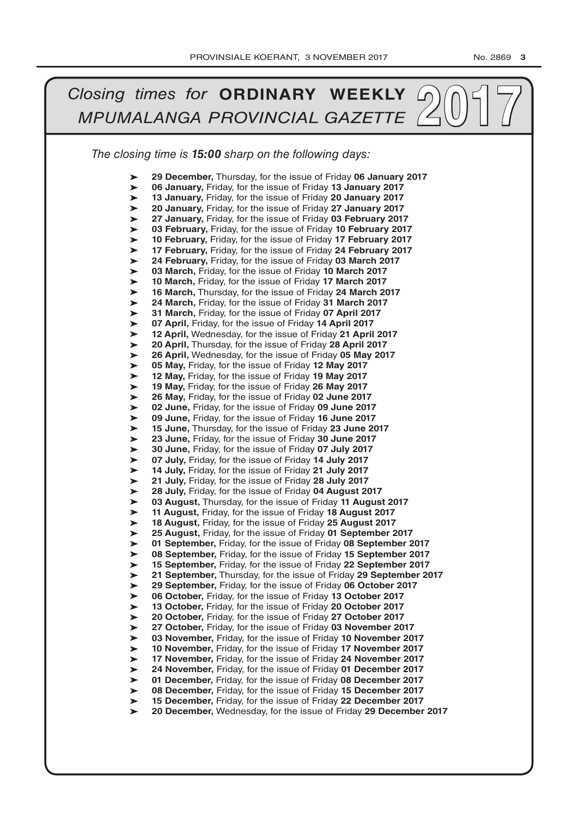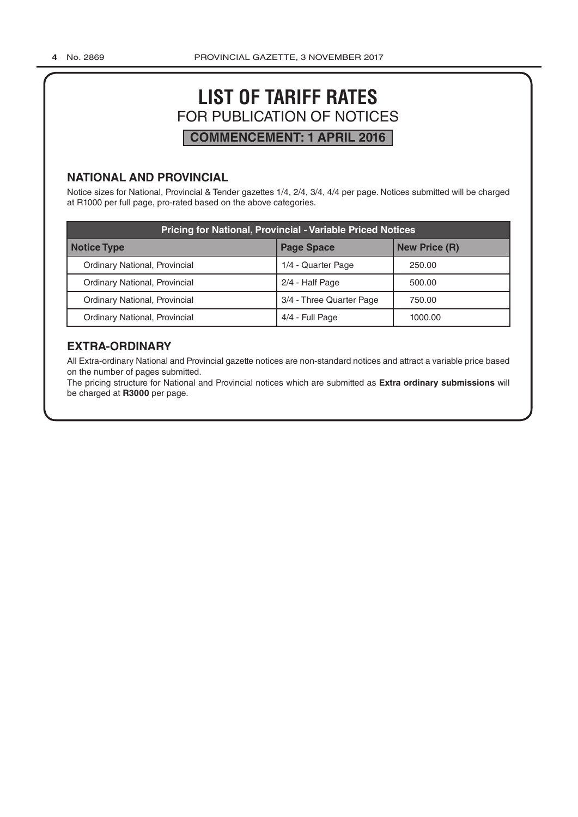# **LIST OF TARIFF RATES** FOR PUBLICATION OF NOTICES **COMMENCEMENT: 1 APRIL 2016**

## **NATIONAL AND PROVINCIAL**

Notice sizes for National, Provincial & Tender gazettes 1/4, 2/4, 3/4, 4/4 per page. Notices submitted will be charged at R1000 per full page, pro-rated based on the above categories.

| <b>Pricing for National, Provincial - Variable Priced Notices</b> |                          |                      |  |  |  |  |
|-------------------------------------------------------------------|--------------------------|----------------------|--|--|--|--|
| Notice Type                                                       | <b>Page Space</b>        | <b>New Price (R)</b> |  |  |  |  |
| Ordinary National, Provincial                                     | 1/4 - Quarter Page       | 250.00               |  |  |  |  |
| Ordinary National, Provincial                                     | 2/4 - Half Page          | 500.00               |  |  |  |  |
| Ordinary National, Provincial                                     | 3/4 - Three Quarter Page | 750.00               |  |  |  |  |
| Ordinary National, Provincial                                     | 4/4 - Full Page          | 1000.00              |  |  |  |  |

## **EXTRA-ORDINARY**

All Extra-ordinary National and Provincial gazette notices are non-standard notices and attract a variable price based on the number of pages submitted.

The pricing structure for National and Provincial notices which are submitted as **Extra ordinary submissions** will be charged at **R3000** per page.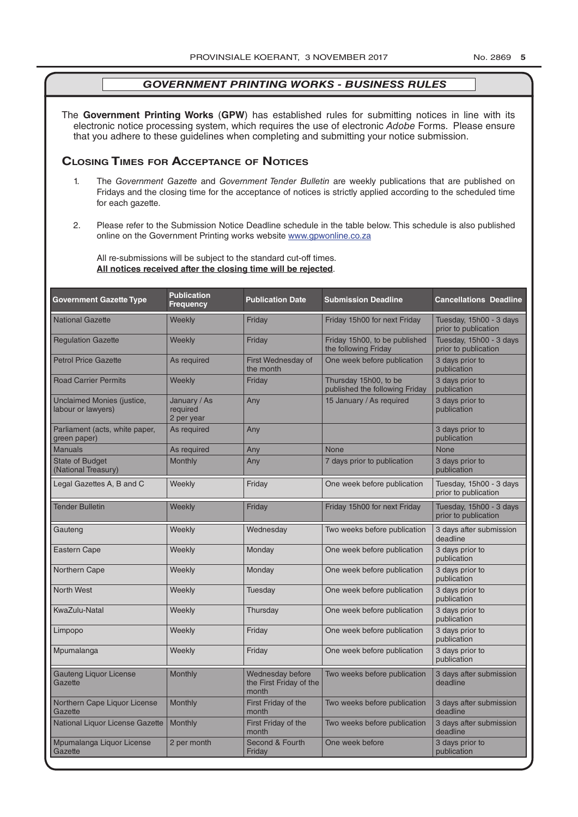The **Government Printing Works** (**GPW**) has established rules for submitting notices in line with its electronic notice processing system, which requires the use of electronic *Adobe* Forms. Please ensure that you adhere to these guidelines when completing and submitting your notice submission.

## **Closing Times for ACCepTAnCe of noTiCes**

- 1. The *Government Gazette* and *Government Tender Bulletin* are weekly publications that are published on Fridays and the closing time for the acceptance of notices is strictly applied according to the scheduled time for each gazette.
- 2. Please refer to the Submission Notice Deadline schedule in the table below. This schedule is also published online on the Government Printing works website www.gpwonline.co.za

All re-submissions will be subject to the standard cut-off times. **All notices received after the closing time will be rejected**.

| <b>Government Gazette Type</b>                   | <b>Publication</b><br><b>Frequency</b> | <b>Publication Date</b>                              | <b>Submission Deadline</b>                              | <b>Cancellations Deadline</b>                   |
|--------------------------------------------------|----------------------------------------|------------------------------------------------------|---------------------------------------------------------|-------------------------------------------------|
| <b>National Gazette</b>                          | Weekly                                 | Friday                                               | Friday 15h00 for next Friday                            | Tuesday, 15h00 - 3 days<br>prior to publication |
| <b>Regulation Gazette</b>                        | Weekly                                 | Friday                                               | Friday 15h00, to be published<br>the following Friday   | Tuesday, 15h00 - 3 days<br>prior to publication |
| <b>Petrol Price Gazette</b>                      | As required                            | First Wednesday of<br>the month                      | One week before publication                             | 3 days prior to<br>publication                  |
| <b>Road Carrier Permits</b>                      | Weekly                                 | Friday                                               | Thursday 15h00, to be<br>published the following Friday | 3 days prior to<br>publication                  |
| Unclaimed Monies (justice,<br>labour or lawyers) | January / As<br>required<br>2 per year | Any                                                  | 15 January / As required                                | 3 days prior to<br>publication                  |
| Parliament (acts, white paper,<br>green paper)   | As required                            | Any                                                  |                                                         | 3 days prior to<br>publication                  |
| <b>Manuals</b>                                   | As required                            | Any                                                  | <b>None</b>                                             | <b>None</b>                                     |
| <b>State of Budget</b><br>(National Treasury)    | <b>Monthly</b>                         | Any                                                  | 7 days prior to publication                             | 3 days prior to<br>publication                  |
| Legal Gazettes A, B and C                        | Weekly                                 | Friday                                               | One week before publication                             | Tuesday, 15h00 - 3 days<br>prior to publication |
| <b>Tender Bulletin</b>                           | Weekly                                 | Friday                                               | Friday 15h00 for next Friday                            | Tuesday, 15h00 - 3 days<br>prior to publication |
| Gauteng                                          | Weekly                                 | Wednesday                                            | Two weeks before publication                            | 3 days after submission<br>deadline             |
| <b>Eastern Cape</b>                              | Weekly                                 | Monday                                               | One week before publication                             | 3 days prior to<br>publication                  |
| Northern Cape                                    | Weekly                                 | Monday                                               | One week before publication                             | 3 days prior to<br>publication                  |
| <b>North West</b>                                | Weekly                                 | Tuesday                                              | One week before publication                             | 3 days prior to<br>publication                  |
| KwaZulu-Natal                                    | Weekly                                 | Thursday                                             | One week before publication                             | 3 days prior to<br>publication                  |
| Limpopo                                          | Weekly                                 | Friday                                               | One week before publication                             | 3 days prior to<br>publication                  |
| Mpumalanga                                       | Weekly                                 | Friday                                               | One week before publication                             | 3 days prior to<br>publication                  |
| <b>Gauteng Liquor License</b><br>Gazette         | Monthly                                | Wednesday before<br>the First Friday of the<br>month | Two weeks before publication                            | 3 days after submission<br>deadline             |
| Northern Cape Liquor License<br>Gazette          | Monthly                                | First Friday of the<br>month                         | Two weeks before publication                            | 3 days after submission<br>deadline             |
| National Liquor License Gazette                  | <b>Monthly</b>                         | First Friday of the<br>month                         | Two weeks before publication                            | 3 days after submission<br>deadline             |
| Mpumalanga Liquor License<br>Gazette             | 2 per month                            | Second & Fourth<br>Friday                            | One week before                                         | 3 days prior to<br>publication                  |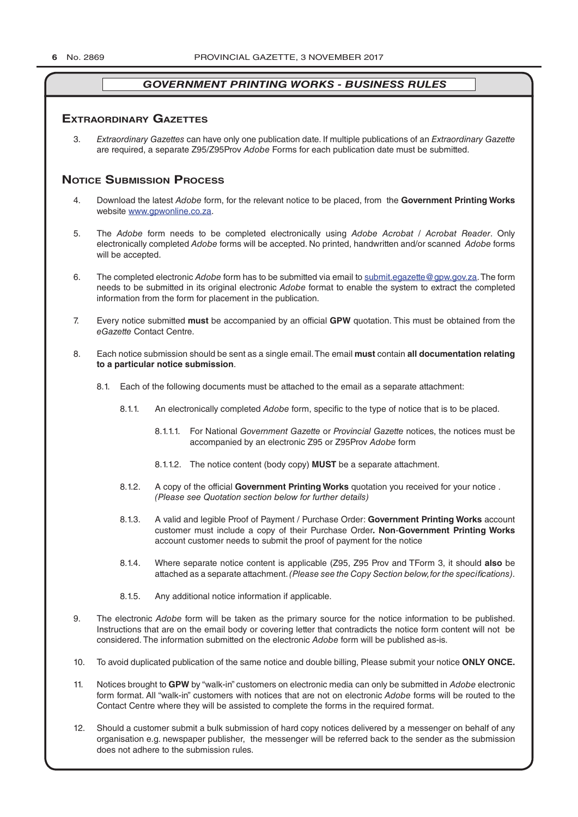## **exTrAordinAry gAzeTTes**

3. *Extraordinary Gazettes* can have only one publication date. If multiple publications of an *Extraordinary Gazette* are required, a separate Z95/Z95Prov *Adobe* Forms for each publication date must be submitted.

## **NOTICE SUBMISSION PROCESS**

- 4. Download the latest *Adobe* form, for the relevant notice to be placed, from the **Government Printing Works** website www.gpwonline.co.za.
- 5. The *Adobe* form needs to be completed electronically using *Adobe Acrobat* / *Acrobat Reader*. Only electronically completed *Adobe* forms will be accepted. No printed, handwritten and/or scanned *Adobe* forms will be accepted.
- 6. The completed electronic *Adobe* form has to be submitted via email to submit.egazette@gpw.gov.za. The form needs to be submitted in its original electronic *Adobe* format to enable the system to extract the completed information from the form for placement in the publication.
- 7. Every notice submitted **must** be accompanied by an official **GPW** quotation. This must be obtained from the *eGazette* Contact Centre.
- 8. Each notice submission should be sent as a single email. The email **must** contain **all documentation relating to a particular notice submission**.
	- 8.1. Each of the following documents must be attached to the email as a separate attachment:
		- 8.1.1. An electronically completed *Adobe* form, specific to the type of notice that is to be placed.
			- 8.1.1.1. For National *Government Gazette* or *Provincial Gazette* notices, the notices must be accompanied by an electronic Z95 or Z95Prov *Adobe* form
			- 8.1.1.2. The notice content (body copy) **MUST** be a separate attachment.
		- 8.1.2. A copy of the official **Government Printing Works** quotation you received for your notice . *(Please see Quotation section below for further details)*
		- 8.1.3. A valid and legible Proof of Payment / Purchase Order: **Government Printing Works** account customer must include a copy of their Purchase Order*.* **Non**-**Government Printing Works** account customer needs to submit the proof of payment for the notice
		- 8.1.4. Where separate notice content is applicable (Z95, Z95 Prov and TForm 3, it should **also** be attached as a separate attachment. *(Please see the Copy Section below, for the specifications)*.
		- 8.1.5. Any additional notice information if applicable.
- 9. The electronic *Adobe* form will be taken as the primary source for the notice information to be published. Instructions that are on the email body or covering letter that contradicts the notice form content will not be considered. The information submitted on the electronic *Adobe* form will be published as-is.
- 10. To avoid duplicated publication of the same notice and double billing, Please submit your notice **ONLY ONCE.**
- 11. Notices brought to **GPW** by "walk-in" customers on electronic media can only be submitted in *Adobe* electronic form format. All "walk-in" customers with notices that are not on electronic *Adobe* forms will be routed to the Contact Centre where they will be assisted to complete the forms in the required format.
- 12. Should a customer submit a bulk submission of hard copy notices delivered by a messenger on behalf of any organisation e.g. newspaper publisher, the messenger will be referred back to the sender as the submission does not adhere to the submission rules.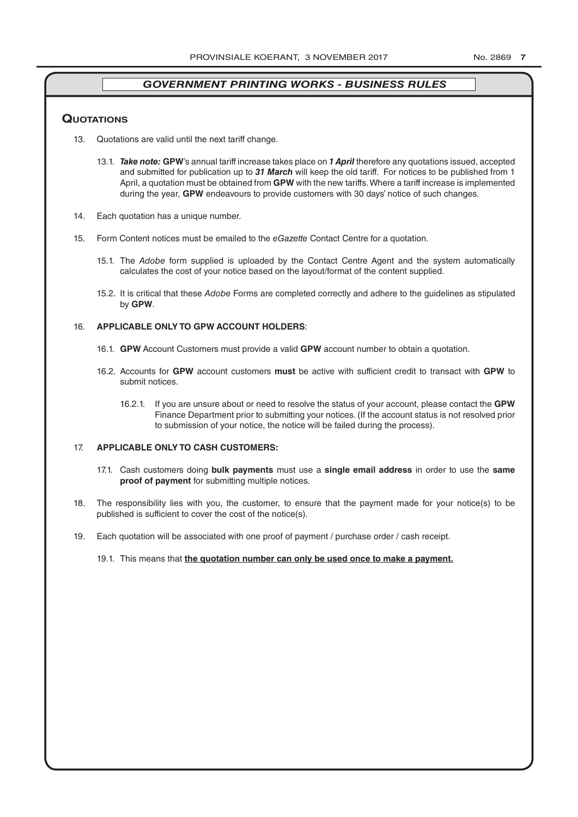## **QuoTATions**

- 13. Quotations are valid until the next tariff change.
	- 13.1. *Take note:* **GPW**'s annual tariff increase takes place on *1 April* therefore any quotations issued, accepted and submitted for publication up to *31 March* will keep the old tariff. For notices to be published from 1 April, a quotation must be obtained from **GPW** with the new tariffs. Where a tariff increase is implemented during the year, **GPW** endeavours to provide customers with 30 days' notice of such changes.
- 14. Each quotation has a unique number.
- 15. Form Content notices must be emailed to the *eGazette* Contact Centre for a quotation.
	- 15.1. The *Adobe* form supplied is uploaded by the Contact Centre Agent and the system automatically calculates the cost of your notice based on the layout/format of the content supplied.
	- 15.2. It is critical that these *Adobe* Forms are completed correctly and adhere to the guidelines as stipulated by **GPW**.

## 16. **APPLICABLE ONLY TO GPW ACCOUNT HOLDERS**:

- 16.1. **GPW** Account Customers must provide a valid **GPW** account number to obtain a quotation.
- 16.2. Accounts for **GPW** account customers **must** be active with sufficient credit to transact with **GPW** to submit notices.
	- 16.2.1. If you are unsure about or need to resolve the status of your account, please contact the **GPW** Finance Department prior to submitting your notices. (If the account status is not resolved prior to submission of your notice, the notice will be failed during the process).

## 17. **APPLICABLE ONLY TO CASH CUSTOMERS:**

- 17.1. Cash customers doing **bulk payments** must use a **single email address** in order to use the **same proof of payment** for submitting multiple notices.
- 18. The responsibility lies with you, the customer, to ensure that the payment made for your notice(s) to be published is sufficient to cover the cost of the notice(s).
- 19. Each quotation will be associated with one proof of payment / purchase order / cash receipt.
	- 19.1. This means that **the quotation number can only be used once to make a payment.**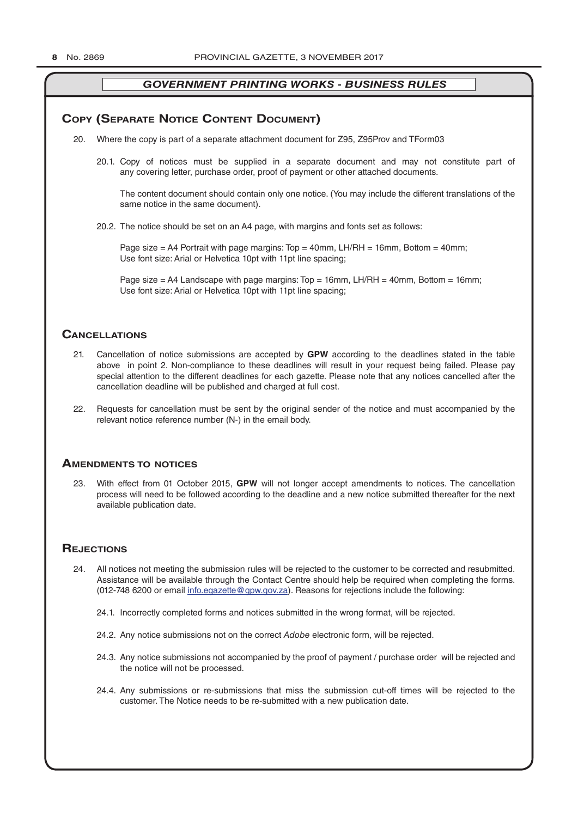## **COPY (SEPARATE NOTICE CONTENT DOCUMENT)**

- 20. Where the copy is part of a separate attachment document for Z95, Z95Prov and TForm03
	- 20.1. Copy of notices must be supplied in a separate document and may not constitute part of any covering letter, purchase order, proof of payment or other attached documents.

The content document should contain only one notice. (You may include the different translations of the same notice in the same document).

20.2. The notice should be set on an A4 page, with margins and fonts set as follows:

Page size  $=$  A4 Portrait with page margins: Top  $=$  40mm, LH/RH  $=$  16mm, Bottom  $=$  40mm; Use font size: Arial or Helvetica 10pt with 11pt line spacing;

Page size = A4 Landscape with page margins: Top = 16mm, LH/RH = 40mm, Bottom = 16mm; Use font size: Arial or Helvetica 10pt with 11pt line spacing;

## **CAnCellATions**

- 21. Cancellation of notice submissions are accepted by **GPW** according to the deadlines stated in the table above in point 2. Non-compliance to these deadlines will result in your request being failed. Please pay special attention to the different deadlines for each gazette. Please note that any notices cancelled after the cancellation deadline will be published and charged at full cost.
- 22. Requests for cancellation must be sent by the original sender of the notice and must accompanied by the relevant notice reference number (N-) in the email body.

## **AmendmenTs To noTiCes**

23. With effect from 01 October 2015, **GPW** will not longer accept amendments to notices. The cancellation process will need to be followed according to the deadline and a new notice submitted thereafter for the next available publication date.

## **REJECTIONS**

- 24. All notices not meeting the submission rules will be rejected to the customer to be corrected and resubmitted. Assistance will be available through the Contact Centre should help be required when completing the forms. (012-748 6200 or email info.egazette@gpw.gov.za). Reasons for rejections include the following:
	- 24.1. Incorrectly completed forms and notices submitted in the wrong format, will be rejected.
	- 24.2. Any notice submissions not on the correct *Adobe* electronic form, will be rejected.
	- 24.3. Any notice submissions not accompanied by the proof of payment / purchase order will be rejected and the notice will not be processed.
	- 24.4. Any submissions or re-submissions that miss the submission cut-off times will be rejected to the customer. The Notice needs to be re-submitted with a new publication date.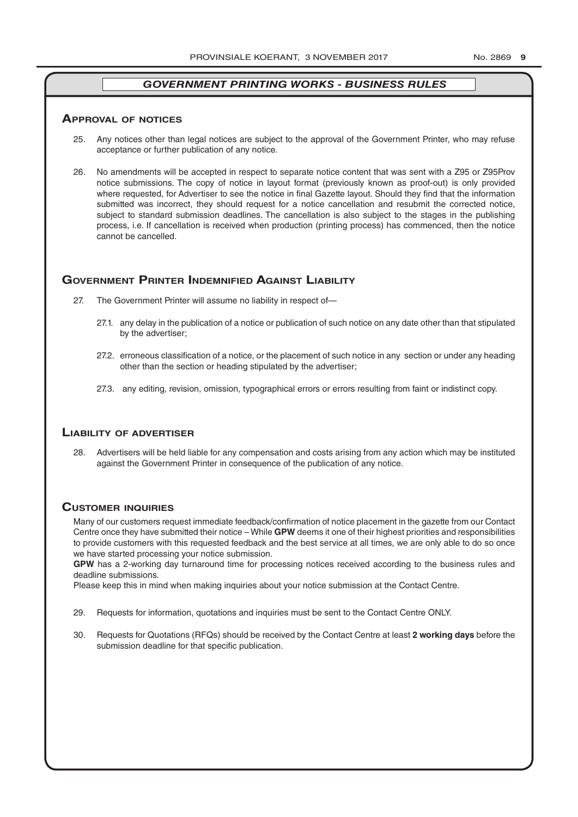### **ApprovAl of noTiCes**

- 25. Any notices other than legal notices are subject to the approval of the Government Printer, who may refuse acceptance or further publication of any notice.
- 26. No amendments will be accepted in respect to separate notice content that was sent with a Z95 or Z95Prov notice submissions. The copy of notice in layout format (previously known as proof-out) is only provided where requested, for Advertiser to see the notice in final Gazette layout. Should they find that the information submitted was incorrect, they should request for a notice cancellation and resubmit the corrected notice, subject to standard submission deadlines. The cancellation is also subject to the stages in the publishing process, i.e. If cancellation is received when production (printing process) has commenced, then the notice cannot be cancelled.

## **governmenT prinTer indemnified AgAinsT liAbiliTy**

- 27. The Government Printer will assume no liability in respect of—
	- 27.1. any delay in the publication of a notice or publication of such notice on any date other than that stipulated by the advertiser;
	- 27.2. erroneous classification of a notice, or the placement of such notice in any section or under any heading other than the section or heading stipulated by the advertiser;
	- 27.3. any editing, revision, omission, typographical errors or errors resulting from faint or indistinct copy.

## **liAbiliTy of AdverTiser**

28. Advertisers will be held liable for any compensation and costs arising from any action which may be instituted against the Government Printer in consequence of the publication of any notice.

## **CusTomer inQuiries**

Many of our customers request immediate feedback/confirmation of notice placement in the gazette from our Contact Centre once they have submitted their notice – While **GPW** deems it one of their highest priorities and responsibilities to provide customers with this requested feedback and the best service at all times, we are only able to do so once we have started processing your notice submission.

**GPW** has a 2-working day turnaround time for processing notices received according to the business rules and deadline submissions.

Please keep this in mind when making inquiries about your notice submission at the Contact Centre.

- 29. Requests for information, quotations and inquiries must be sent to the Contact Centre ONLY.
- 30. Requests for Quotations (RFQs) should be received by the Contact Centre at least **2 working days** before the submission deadline for that specific publication.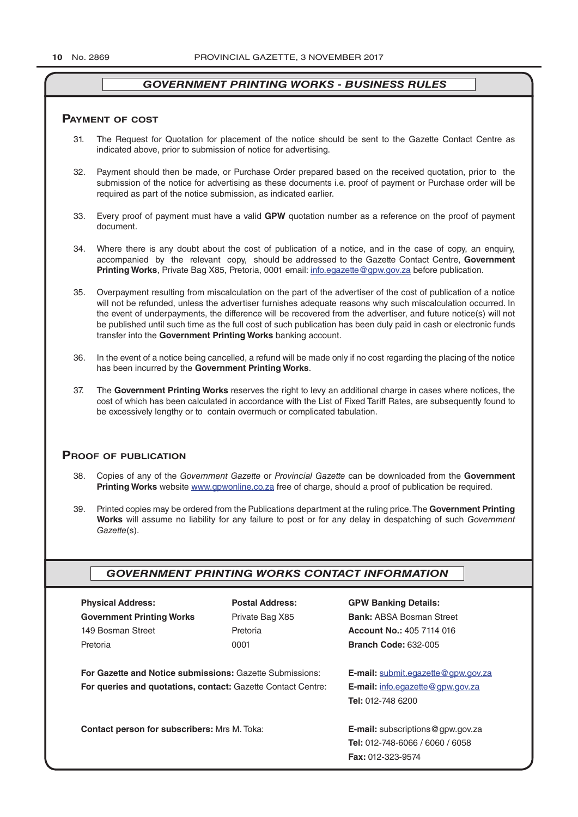## **pAymenT of CosT**

- 31. The Request for Quotation for placement of the notice should be sent to the Gazette Contact Centre as indicated above, prior to submission of notice for advertising.
- 32. Payment should then be made, or Purchase Order prepared based on the received quotation, prior to the submission of the notice for advertising as these documents i.e. proof of payment or Purchase order will be required as part of the notice submission, as indicated earlier.
- 33. Every proof of payment must have a valid **GPW** quotation number as a reference on the proof of payment document.
- 34. Where there is any doubt about the cost of publication of a notice, and in the case of copy, an enquiry, accompanied by the relevant copy, should be addressed to the Gazette Contact Centre, **Government Printing Works**, Private Bag X85, Pretoria, 0001 email: info.egazette@gpw.gov.za before publication.
- 35. Overpayment resulting from miscalculation on the part of the advertiser of the cost of publication of a notice will not be refunded, unless the advertiser furnishes adequate reasons why such miscalculation occurred. In the event of underpayments, the difference will be recovered from the advertiser, and future notice(s) will not be published until such time as the full cost of such publication has been duly paid in cash or electronic funds transfer into the **Government Printing Works** banking account.
- 36. In the event of a notice being cancelled, a refund will be made only if no cost regarding the placing of the notice has been incurred by the **Government Printing Works**.
- 37. The **Government Printing Works** reserves the right to levy an additional charge in cases where notices, the cost of which has been calculated in accordance with the List of Fixed Tariff Rates, are subsequently found to be excessively lengthy or to contain overmuch or complicated tabulation.

## **proof of publiCATion**

- 38. Copies of any of the *Government Gazette* or *Provincial Gazette* can be downloaded from the **Government Printing Works** website www.gpwonline.co.za free of charge, should a proof of publication be required.
- 39. Printed copies may be ordered from the Publications department at the ruling price. The **Government Printing Works** will assume no liability for any failure to post or for any delay in despatching of such *Government Gazette*(s).

## *GOVERNMENT PRINTING WORKS CONTACT INFORMATION*

| <b>Physical Address:</b>                                            | <b>Postal Address:</b>                      | <b>GPW Banking Details:</b>               |
|---------------------------------------------------------------------|---------------------------------------------|-------------------------------------------|
| <b>Government Printing Works</b>                                    | Private Bag X85                             | <b>Bank: ABSA Bosman Street</b>           |
| 149 Bosman Street                                                   | Pretoria                                    | <b>Account No.: 405 7114 016</b>          |
| Pretoria                                                            | 0001                                        | <b>Branch Code: 632-005</b>               |
| For Gazette and Notice submissions: Gazette Submissions:            |                                             | <b>E-mail:</b> submit.eqazette@gpw.gov.za |
| <b>For queries and quotations, contact: Gazette Contact Centre:</b> |                                             | E-mail: info.egazette@gpw.gov.za          |
|                                                                     |                                             | <b>Tel: 012-748 6200</b>                  |
| <b>Contact person for subscribers: Mrs M. Toka:</b>                 | <b>E-mail:</b> subscriptions $@$ gpw.gov.za |                                           |
|                                                                     |                                             | <b>Tel: 012-748-6066 / 6060 / 6058</b>    |
|                                                                     |                                             | <b>Fax: 012-323-9574</b>                  |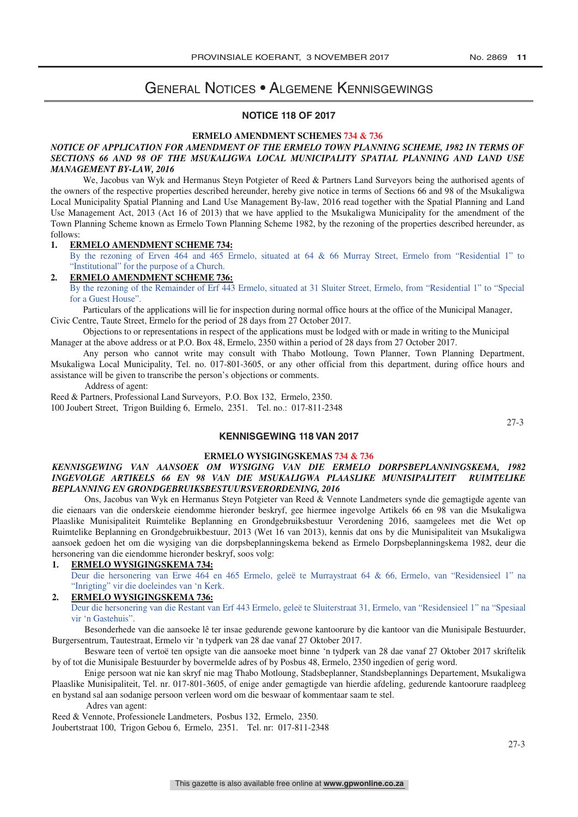## General Notices • Algemene Kennisgewings

## **NOTICE 118 OF 2017**

### **ERMELO AMENDMENT SCHEMES 734 & 736**

### *NOTICE OF APPLICATION FOR AMENDMENT OF THE ERMELO TOWN PLANNING SCHEME, 1982 IN TERMS OF*  NOTICE OF ALLEGATION FOR AMENDMENT OF THE ERMEEO TOWN LEANNING SCHEME, 1982 IN LERMS OF<br>SECTIONS 66 AND 98 OF THE MSUKALIGWA LOCAL MUNICIPALITY SPATIAL PLANNING AND LAND USE *MANAGEMENT BY-LAW, 2016 NOTICE OF APPLICATION FOR AMENDMENT OF THE ERMELO TOWN PLANNING SCHEME, 1982 IN TERMS OF*

We, Jacobus van Wyk and Hermanus Steyn Potgieter of Reed & Partners Land Surveyors being the authorised agents of we, *secous* van wyk and riefmanus steyn rotgieter of Reed & *r*affilers Land surveyors being the authorised agents of the respective properties described hereunder, hereby give notice in terms of Sections 66 and 98 of the Local Municipality Spatial Planning and Land Use Management By-law, 2016 read together with the Spatial Planning and Land Use Management Act, 2013 (Act 16 of 2013) that we have applied to the Msukaligwa Municipality for the amendment of the Town Planning Scheme known as Ermelo Town Planning Scheme 1982, by the rezoning of the properties described hereunder, as follows: **1. ERMELO AMENDMENT SCHEME 734:**<br>1. ERMELO AMENDMENT SCHEME 734: USE Management Actualism as Entitled Town Framing Scheme 1962, by the reguling of the properties described hereunder, as

By the rezoning of Erven 464 and 465 Ermelo, situated at 64 & 66 Murray Street, Ermelo from "Residential 1" to For the region of Erven 404 and 405. Extensive the purpose of a Church.

## 2. ERMELO AMENDMENT SCHEME 736:

By the rezoning of the Remainder of Erf 443 Ermelo, situated at 31 Sluiter Street, Ermelo, from "Residential 1" to "Special for a Guest House". **2. EXAMPLE 2. EXAMPLE 736:** The **AMERICA** Of EXPERIMENT SCHEME 74

Particulars of the applications will lie for inspection during normal office hours at the office of the Municipal Manager, Tautedials of the approaches with the formspection during normal order in Civic Centre, Taute Street, Ermelo for the period of 28 days from 27 October 2017.

 $\alpha$  and succe, Efficio for the period of 26 days from 27 October 2017.<br>Objections to or representations in respect of the applications must be lodged with or made in writing to the Municipal Manager at the above address or at P.O. Box 48, Ermelo, 2350 within a period of 28 days from 27 October 2017.

at the above address of at 1.0. Box 46, Ernelo, 2550 whilm a period or 26 days from 27 October 2017.<br>Any person who cannot write may consult with Thabo Motloung, Town Planner, Town Planning Department, Msukaligwa Local Municipality, Tel. no. 017-801-3605, or any other official from this department, during office hours and assistance will be given to transcribe the person's objections or comments.<br>Address of a satisfy  $\frac{1}{2}$  and  $\frac{1}{2}$  may consult with Thabo Motloung, Thabo Motloung, Thabo Motloung, Thabo Motloung Department, Thabo Motloung and  $\frac{1}{2}$ 

Address of agent:

Reed & Partners, Professional Land Surveyors, P.O. Box 132, Ermelo, 2350. 100 Joubert Street, Trigon Building 6, Ermelo, 2351. Tel. no.: 017-811-2348

 $R_{\text{E}}$  represents the Partia Burning of Ermelo, 2331. Tel. no., 017-011-23.

27-3

## **KENNISGEWING 118 VAN 2017**

## **ERMELO WYSIGINGSKEMAS 734 & 736**

## *INGEVOLGE ARTIKELS 66 EN 98 VAN DIE MSUKALIGWA PLAASLIKE MUNISIPALITEIT RUIMTELIKE KENNISGEWING VAN AANSOEK OM WYSIGING VAN DIE ERMELO DORPSBEPLANNINGSKEMA, 1982 BEPLANNING EN GRONDGEBRUIKSBESTUURSVERORDENING, 2016 INGEVOLGE ARTIKELS 66 EN 98 VAN DIE MSUKALIGWA PLAASLIKE MUNISIPALITEIT RUIMTELIKE*  Ons, Jacobus van Wyk en Hermanus Steyn Potgieter van Reed & Vennote Landmeters synde die gemagtigde agente van *BEPLANNING EN GRONDGEBRUIKSBESTUURSVERORDENING, 2016*

Ons, Jacobus van Wyk en Hermanus Steyn Potgieter van Reed & Vennote Landmeters synde die gemagtigde agente van die eienaars van die onderskeie eiendomme hieronder beskryf, gee hiermee ingevolge Artikels 66 en 98 van die Msukaligwa Plaaslike Munisipaliteit Ruimtelike Beplanning en Grondgebruiksbestuur Verordening 2016, saamgelees met die Wet op Ruimtelike Beplanning en Grondgebruikbestuur, 2013 (Wet 16 van 2013), kennis dat ons by die Munisipaliteit van Msukaligwa hersonering van die eiendomme hieronder beskryf, soos volg: eien hieronder beskryf, soos volg: eien hieronder bekend as Ermelo Dorpsbeplanningskema 1982, deur die **1. ERMELO WYSIGINGSKEMA 734:** hersonering van die eiendomme hieronder beskryf, soos volg: nersonering van die eiendemine indicatel eerste y<sub>n</sub>, soos vorg.<br>1. ERMELO WYSIGINGSKEMA 734:

Deur die hersonering van Erwe 464 en 465 Ermelo, geleë te Murraystraat 64 & 66, Ermelo, van "Residensieel 1" na **2. ERMELO WYSIGINGSKEMA 736:** "Inrigting" vir die doeleindes van 'n Kerk. Deur die hersonering van die Restant van Erf 443 Ermelo, geleë te Sluiterstraat 31, Ermelo, van "Residensieel 1" na "Spesiaal **2. ERMELO WYSIGINGSKEMA 736:**

Daur die bersone Deur die hersonering van die Restant van Erf 443 Ermelo, geleë te Sluiterstraat 31, Ermelo, van "Residensieel 1" na "Spesiaal<br>vir 'n Gestebuie" vir 'n Gastehuis".

Besonderhede van die aansoeke lê ter insae gedurende gewone kantoorure by die kantoor van die Munisipale Bestuurder, Burgersentrum, Tautestraat, Ermelo vir 'n tydperk van 28 dae vanaf 27 Oktober 2017.

Besware teen of vertoë ten opsigte van die aansoeke moet binne 'n tydperk van 28 dae vanaf 27 Oktober 2017 skriftelik by of tot die Munisipale Bestuurder by bovermelde adres of by Posbus 48, Ermelo, 2350 ingedien of gerig word.

Enige persoon wat nie kan skryf nie mag Thabo Motloung, Stadsbeplanner, Standsbeplannings Departement, Msukaligwa en bystand sal aan sodanie bestwaard verleen word om die bestwaard saam te stel. In the stelling of the stelling of the stelling, gedurende kantoorure raadpleeg Adres van de van de van de van de van de van de van de van de van de van de van de van de van de van de van de<br>Adres van de van de van de van de van de van de van de van de van de van de van de van de van de van de van de en bystand sal aan sodanige persoon verleen word om die beswaar of kommentaar saam te stel.<br>Adree van soort:

Adres van agent:

Reed & Vennote, Professionele Landmeters, Posbus 132, Ermelo, 2350.

Joubertstraat 100, Trigon Gebou 6, Ermelo, 2351. Tel. nr: 017-811-2348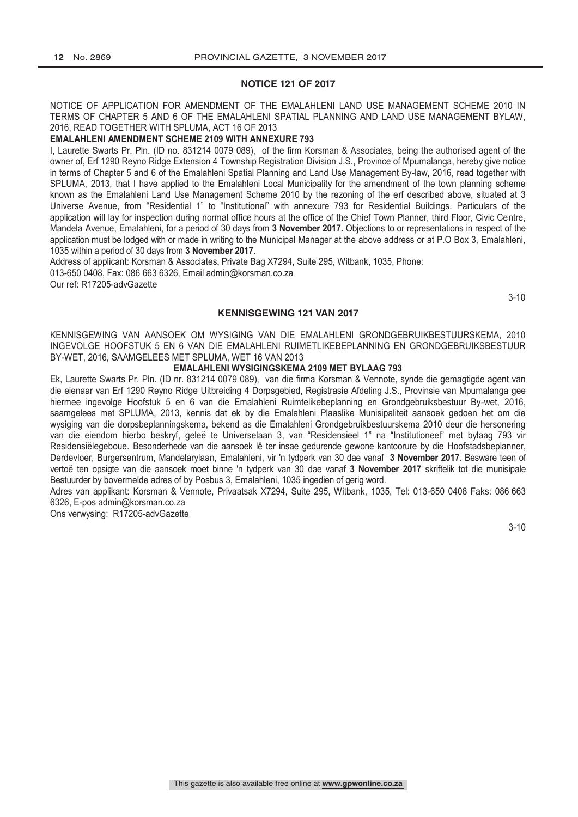## **NOTICE 121 OF 2017**

NOTICE OF APPLICATION FOR AMENDMENT OF THE EMALAHLENI LAND USE MANAGEMENT SCHEME 2010 IN TERMS OF CHAPTER 5 AND 6 OF THE EMALAHLENI SPATIAL PLANNING AND LAND USE MANAGEMENT BYLAW, 2016, READ TOGETHER WITH SPLUMA, ACT 16 OF 2013

## **EMALAHLENI AMENDMENT SCHEME 2109 WITH ANNEXURE 793**

I, Laurette Swarts Pr. Pln. (ID no. 831214 0079 089), of the firm Korsman & Associates, being the authorised agent of the owner of, Erf 1290 Reyno Ridge Extension 4 Township Registration Division J.S., Province of Mpumalanga, hereby give notice in terms of Chapter 5 and 6 of the Emalahleni Spatial Planning and Land Use Management By-law, 2016, read together with SPLUMA, 2013, that I have applied to the Emalahleni Local Municipality for the amendment of the town planning scheme known as the Emalahleni Land Use Management Scheme 2010 by the rezoning of the erf described above, situated at 3 Universe Avenue, from "Residential 1" to "Institutional" with annexure 793 for Residential Buildings. Particulars of the application will lay for inspection during normal office hours at the office of the Chief Town Planner, third Floor, Civic Centre, Mandela Avenue, Emalahleni, for a period of 30 days from **3 November 2017.** Objections to or representations in respect of the application must be lodged with or made in writing to the Municipal Manager at the above address or at P.O Box 3, Emalahleni, 1035 within a period of 30 days from **3 November 2017**.

Address of applicant: Korsman & Associates, Private Bag X7294, Suite 295, Witbank, 1035, Phone: 013-650 0408, Fax: 086 663 6326, Email admin@korsman.co.za Our ref: R17205-advGazette

3-10

## **KENNISGEWING 121 VAN 2017**

KENNISGEWING VAN AANSOEK OM WYSIGING VAN DIE EMALAHLENI GRONDGEBRUIKBESTUURSKEMA, 2010 INGEVOLGE HOOFSTUK 5 EN 6 VAN DIE EMALAHLENI RUIMETLIKEBEPLANNING EN GRONDGEBRUIKSBESTUUR BY-WET, 2016, SAAMGELEES MET SPLUMA, WET 16 VAN 2013

## **EMALAHLENI WYSIGINGSKEMA 2109 MET BYLAAG 793**

Ek, Laurette Swarts Pr. Pln. (ID nr. 831214 0079 089), van die firma Korsman & Vennote, synde die gemagtigde agent van die eienaar van Erf 1290 Reyno Ridge Uitbreiding 4 Dorpsgebied, Registrasie Afdeling J.S., Provinsie van Mpumalanga gee hiermee ingevolge Hoofstuk 5 en 6 van die Emalahleni Ruimtelikebeplanning en Grondgebruiksbestuur By-wet, 2016, saamgelees met SPLUMA, 2013, kennis dat ek by die Emalahleni Plaaslike Munisipaliteit aansoek gedoen het om die wysiging van die dorpsbeplanningskema, bekend as die Emalahleni Grondgebruikbestuurskema 2010 deur die hersonering van die eiendom hierbo beskryf, geleë te Universelaan 3, van "Residensieel 1" na "Institutioneel" met bylaag 793 vir Residensiëlegeboue. Besonderhede van die aansoek lê ter insae gedurende gewone kantoorure by die Hoofstadsbeplanner, Derdevloer, Burgersentrum, Mandelarylaan, Emalahleni, vir 'n tydperk van 30 dae vanaf **3 November 2017**. Besware teen of vertoë ten opsigte van die aansoek moet binne 'n tydperk van 30 dae vanaf **3 November 2017** skriftelik tot die munisipale Bestuurder by bovermelde adres of by Posbus 3, Emalahleni, 1035 ingedien of gerig word.

Adres van applikant: Korsman & Vennote, Privaatsak X7294, Suite 295, Witbank, 1035, Tel: 013-650 0408 Faks: 086 663 6326, E-pos admin@korsman.co.za

Ons verwysing: R17205-advGazette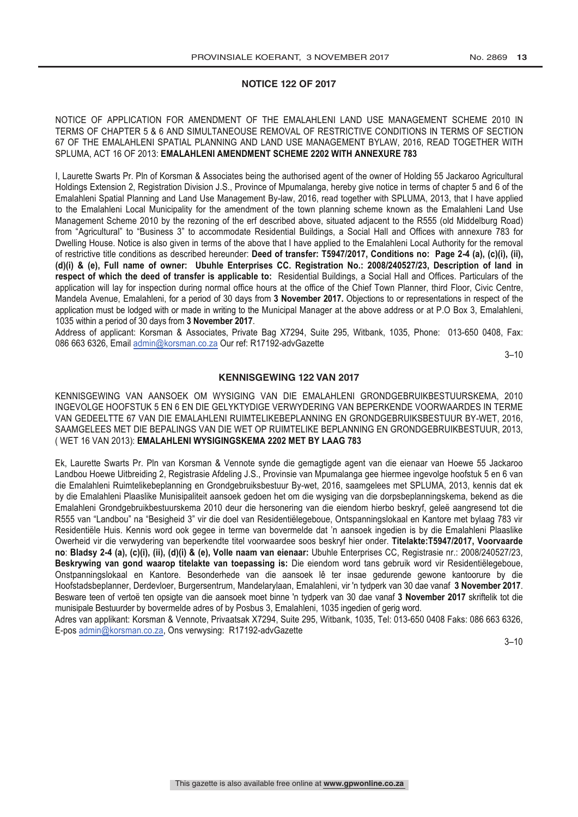## **NOTICE 122 OF 2017**

NOTICE OF APPLICATION FOR AMENDMENT OF THE EMALAHLENI LAND USE MANAGEMENT SCHEME 2010 IN TERMS OF CHAPTER 5 & 6 AND SIMULTANEOUSE REMOVAL OF RESTRICTIVE CONDITIONS IN TERMS OF SECTION 67 OF THE EMALAHLENI SPATIAL PLANNING AND LAND USE MANAGEMENT BYLAW, 2016, READ TOGETHER WITH SPLUMA, ACT 16 OF 2013: **EMALAHLENI AMENDMENT SCHEME 2202 WITH ANNEXURE 783**

I, Laurette Swarts Pr. Pln of Korsman & Associates being the authorised agent of the owner of Holding 55 Jackaroo Agricultural Holdings Extension 2, Registration Division J.S., Province of Mpumalanga, hereby give notice in terms of chapter 5 and 6 of the Emalahleni Spatial Planning and Land Use Management By-law, 2016, read together with SPLUMA, 2013, that I have applied to the Emalahleni Local Municipality for the amendment of the town planning scheme known as the Emalahleni Land Use Management Scheme 2010 by the rezoning of the erf described above, situated adjacent to the R555 (old Middelburg Road) from "Agricultural" to "Business 3" to accommodate Residential Buildings, a Social Hall and Offices with annexure 783 for Dwelling House. Notice is also given in terms of the above that I have applied to the Emalahleni Local Authority for the removal of restrictive title conditions as described hereunder: **Deed of transfer: T5947/2017, Conditions no: Page 2-4 (a), (c)(i), (ii), (d)(i) & (e), Full name of owner: Ubuhle Enterprises CC. Registration No.: 2008/240527/23, Description of land in respect of which the deed of transfer is applicable to:** Residential Buildings, a Social Hall and Offices. Particulars of the application will lay for inspection during normal office hours at the office of the Chief Town Planner, third Floor, Civic Centre, Mandela Avenue, Emalahleni, for a period of 30 days from **3 November 2017.** Objections to or representations in respect of the application must be lodged with or made in writing to the Municipal Manager at the above address or at P.O Box 3, Emalahleni, 1035 within a period of 30 days from **3 November 2017**.

Address of applicant: Korsman & Associates, Private Bag X7294, Suite 295, Witbank, 1035, Phone: 013-650 0408, Fax: 086 663 6326, Email admin@korsman.co.za Our ref: R17192-advGazette

 $3 - 10$ 

## **KENNISGEWING 122 VAN 2017**

KENNISGEWING VAN AANSOEK OM WYSIGING VAN DIE EMALAHLENI GRONDGEBRUIKBESTUURSKEMA, 2010 INGEVOLGE HOOFSTUK 5 EN 6 EN DIE GELYKTYDIGE VERWYDERING VAN BEPERKENDE VOORWAARDES IN TERME VAN GEDEELTTE 67 VAN DIE EMALAHLENI RUIMTELIKEBEPLANNING EN GRONDGEBRUIKSBESTUUR BY-WET, 2016, SAAMGELEES MET DIE BEPALINGS VAN DIE WET OP RUIMTELIKE BEPLANNING EN GRONDGEBRUIKBESTUUR, 2013, ( WET 16 VAN 2013): **EMALAHLENI WYSIGINGSKEMA 2202 MET BY LAAG 783**

Ek, Laurette Swarts Pr. Pln van Korsman & Vennote synde die gemagtigde agent van die eienaar van Hoewe 55 Jackaroo Landbou Hoewe Uitbreiding 2, Registrasie Afdeling J.S., Provinsie van Mpumalanga gee hiermee ingevolge hoofstuk 5 en 6 van die Emalahleni Ruimtelikebeplanning en Grondgebruiksbestuur By-wet, 2016, saamgelees met SPLUMA, 2013, kennis dat ek by die Emalahleni Plaaslike Munisipaliteit aansoek gedoen het om die wysiging van die dorpsbeplanningskema, bekend as die Emalahleni Grondgebruikbestuurskema 2010 deur die hersonering van die eiendom hierbo beskryf, geleë aangresend tot die R555 van "Landbou" na "Besigheid 3" vir die doel van Residentiëlegeboue, Ontspanningslokaal en Kantore met bylaag 783 vir Residentiële Huis. Kennis word ook gegee in terme van bovermelde dat 'n aansoek ingedien is by die Emalahleni Plaaslike Owerheid vir die verwydering van beperkendte titel voorwaardee soos beskryf hier onder. **Titelakte:T5947/2017, Voorvaarde no**: **Bladsy 2-4 (a), (c)(i), (ii), (d)(i) & (e), Volle naam van eienaar:** Ubuhle Enterprises CC, Registrasie nr.: 2008/240527/23, **Beskrywing van gond waarop titelakte van toepassing is:** Die eiendom word tans gebruik word vir Residentiëlegeboue, Onstpanningslokaal en Kantore. Besonderhede van die aansoek lê ter insae gedurende gewone kantoorure by die Hoofstadsbeplanner, Derdevloer, Burgersentrum, Mandelarylaan, Emalahleni, vir 'n tydperk van 30 dae vanaf **3 November 2017**. Besware teen of vertoë ten opsigte van die aansoek moet binne 'n tydperk van 30 dae vanaf **3 November 2017** skriftelik tot die munisipale Bestuurder by bovermelde adres of by Posbus 3, Emalahleni, 1035 ingedien of gerig word.

Adres van applikant: Korsman & Vennote, Privaatsak X7294, Suite 295, Witbank, 1035, Tel: 013-650 0408 Faks: 086 663 6326, E-pos admin@korsman.co.za, Ons verwysing: R17192-advGazette

3–10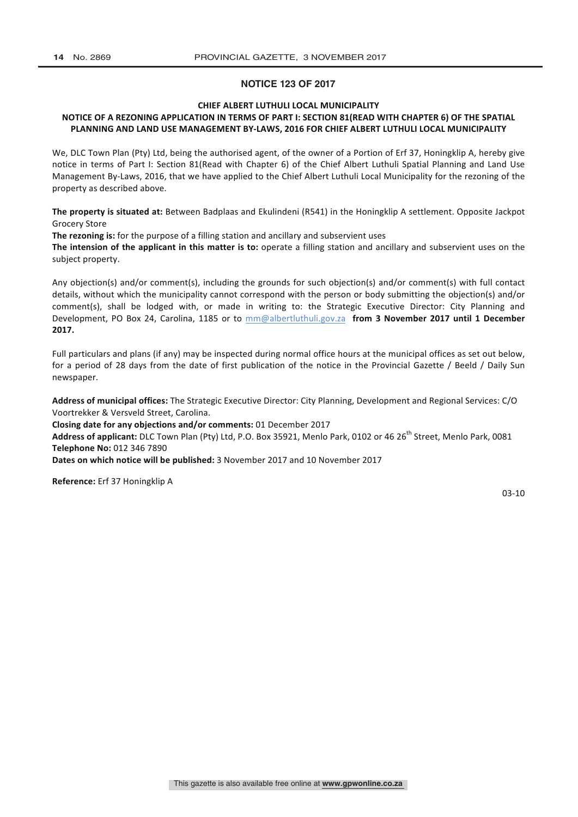## **NOTICE 123 OF 2017**

## **CHIEF ALBERT LUTHULI LOCAL MUNICIPALITY**

## **NOTICE OF A REZONING APPLICATION IN TERMS OF PART I: SECTION 81 (READ WITH CHAPTER 6) OF THE SPATIAL** PLANNING AND LAND USE MANAGEMENT BY-LAWS, 2016 FOR CHIEF ALBERT LUTHULI LOCAL MUNICIPALITY

We, DLC Town Plan (Pty) Ltd, being the authorised agent, of the owner of a Portion of Erf 37, Honingklip A, hereby give notice in terms of Part I: Section 81(Read with Chapter 6) of the Chief Albert Luthuli Spatial Planning and Land Use Management By-Laws, 2016, that we have applied to the Chief Albert Luthuli Local Municipality for the rezoning of the property as described above.

**The property is situated at:** Between Badplaas and Ekulindeni (R541) in the Honingklip A settlement. Opposite Jackpot Grocery Store

**The rezoning is:** for the purpose of a filling station and ancillary and subservient uses

The intension of the applicant in this matter is to: operate a filling station and ancillary and subservient uses on the subject property.

Any objection(s) and/or comment(s), including the grounds for such objection(s) and/or comment(s) with full contact details, without which the municipality cannot correspond with the person or body submitting the objection(s) and/or comment(s), shall be lodged with, or made in writing to: the Strategic Executive Director: City Planning and Development, PO Box 24, Carolina, 1185 or to mm@albertluthuli.gov.za **from 3 November 2017 until 1 December 2017.** 

Full particulars and plans (if any) may be inspected during normal office hours at the municipal offices as set out below, for a period of 28 days from the date of first publication of the notice in the Provincial Gazette / Beeld / Daily Sun newspaper. 

Address of municipal offices: The Strategic Executive Director: City Planning, Development and Regional Services: C/O Voortrekker & Versveld Street, Carolina.

**Closing date for any objections and/or comments:** 01 December 2017

Address of applicant: DLC Town Plan (Pty) Ltd, P.O. Box 35921, Menlo Park, 0102 or 46 26<sup>th</sup> Street, Menlo Park, 0081 **Telephone No:** 012 346 7890

**Dates on which notice will be published:** 3 November 2017 and 10 November 2017

**Reference:** Erf 37 Honingklip A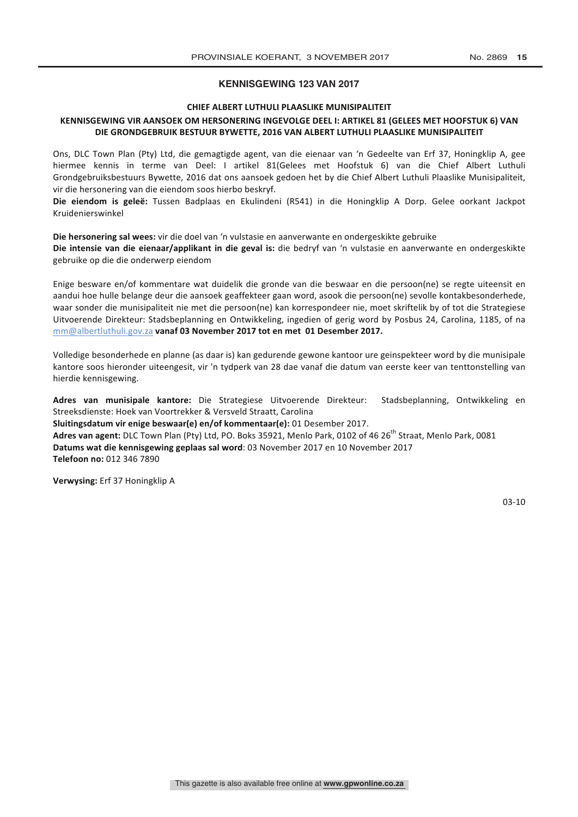## **KENNISGEWING 123 VAN 2017**

## **CHIEF ALBERT LUTHULI PLAASLIKE MUNISIPALITEIT**

## KENNISGEWING VIR AANSOEK OM HERSONERING INGEVOLGE DEEL I: ARTIKEL 81 (GELEES MET HOOFSTUK 6) VAN DIE GRONDGEBRUIK BESTUUR BYWETTE, 2016 VAN ALBERT LUTHULI PLAASLIKE MUNISIPALITEIT

Ons, DLC Town Plan (Pty) Ltd, die gemagtigde agent, van die eienaar van 'n Gedeelte van Erf 37, Honingklip A, gee hiermee kennis in terme van Deel: I artikel 81(Gelees met Hoofstuk 6) van die Chief Albert Luthuli Grondgebruiksbestuurs Bywette, 2016 dat ons aansoek gedoen het by die Chief Albert Luthuli Plaaslike Munisipaliteit, vir die hersonering van die eiendom soos hierbo beskryf.

Die eiendom is geleë: Tussen Badplaas en Ekulindeni (R541) in die Honingklip A Dorp. Gelee oorkant Jackpot Kruidenierswinkel

**Die hersonering sal wees:** vir die doel van 'n vulstasie en aanverwante en ondergeskikte gebruike Die intensie van die eienaar/applikant in die geval is: die bedryf van 'n vulstasie en aanverwante en ondergeskikte gebruike op die die onderwerp eiendom

Enige besware en/of kommentare wat duidelik die gronde van die beswaar en die persoon(ne) se regte uiteensit en aandui hoe hulle belange deur die aansoek geaffekteer gaan word, asook die persoon(ne) sevolle kontakbesonderhede, waar sonder die munisipaliteit nie met die persoon(ne) kan korrespondeer nie, moet skriftelik by of tot die Strategiese Uitvoerende Direkteur: Stadsbeplanning en Ontwikkeling, ingedien of gerig word by Posbus 24, Carolina, 1185, of na mm@albertluthuli.gov.za vanaf 03 November 2017 tot en met 01 Desember 2017.

Volledige besonderhede en planne (as daar is) kan gedurende gewone kantoor ure geinspekteer word by die munisipale kantore soos hieronder uiteengesit, vir 'n tydperk van 28 dae vanaf die datum van eerste keer van tenttonstelling van hierdie kennisgewing.

Adres van munisipale kantore: Die Strategiese Uitvoerende Direkteur: Stadsbeplanning, Ontwikkeling en Streeksdienste: Hoek van Voortrekker & Versveld Straatt, Carolina **Sluitingsdatum vir enige beswaar(e) en/of kommentaar(e):** 01 Desember 2017. **Adres van agent:** DLC Town Plan (Pty) Ltd, PO. Boks 35921, Menlo Park, 0102 of 46 26<sup>th</sup> Straat, Menlo Park, 0081 **Datums wat die kennisgewing geplaas sal word:** 03 November 2017 en 10 November 2017

**Telefoon no:** 012 346 7890

**Verwysing:** Erf 37 Honingklip A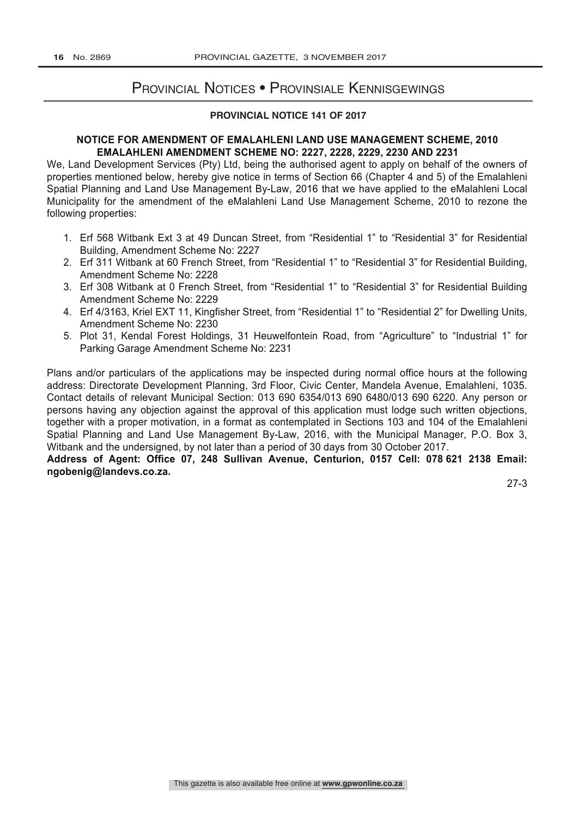## Provincial Notices • Provinsiale Kennisgewings

## **PROVINCIAL NOTICE 141 OF 2017**

## **NOTICE FOR AMENDMENT OF EMALAHLENI LAND USE MANAGEMENT SCHEME, 2010 EMALAHLENI AMENDMENT SCHEME NO: 2227, 2228, 2229, 2230 AND 2231**

We, Land Development Services (Pty) Ltd, being the authorised agent to apply on behalf of the owners of properties mentioned below, hereby give notice in terms of Section 66 (Chapter 4 and 5) of the Emalahleni Spatial Planning and Land Use Management By-Law, 2016 that we have applied to the eMalahleni Local Municipality for the amendment of the eMalahleni Land Use Management Scheme, 2010 to rezone the following properties:

- 1. Erf 568 Witbank Ext 3 at 49 Duncan Street, from "Residential 1" to "Residential 3" for Residential Building, Amendment Scheme No: 2227
- 2. Erf 311 Witbank at 60 French Street, from "Residential 1" to "Residential 3" for Residential Building, Amendment Scheme No: 2228
- 3. Erf 308 Witbank at 0 French Street, from "Residential 1" to "Residential 3" for Residential Building Amendment Scheme No: 2229
- 4. Erf 4/3163, Kriel EXT 11, Kingfisher Street, from "Residential 1" to "Residential 2" for Dwelling Units, Amendment Scheme No: 2230
- 5. Plot 31, Kendal Forest Holdings, 31 Heuwelfontein Road, from "Agriculture" to "Industrial 1" for Parking Garage Amendment Scheme No: 2231

Plans and/or particulars of the applications may be inspected during normal office hours at the following address: Directorate Development Planning, 3rd Floor, Civic Center, Mandela Avenue, Emalahleni, 1035. Contact details of relevant Municipal Section: 013 690 6354/013 690 6480/013 690 6220. Any person or persons having any objection against the approval of this application must lodge such written objections, together with a proper motivation, in a format as contemplated in Sections 103 and 104 of the Emalahleni Spatial Planning and Land Use Management By-Law, 2016, with the Municipal Manager, P.O. Box 3, Witbank and the undersigned, by not later than a period of 30 days from 30 October 2017.

**Address of Agent: Office 07, 248 Sullivan Avenue, Centurion, 0157 Cell: 078 621 2138 Email: ngobenig@landevs.co.za.**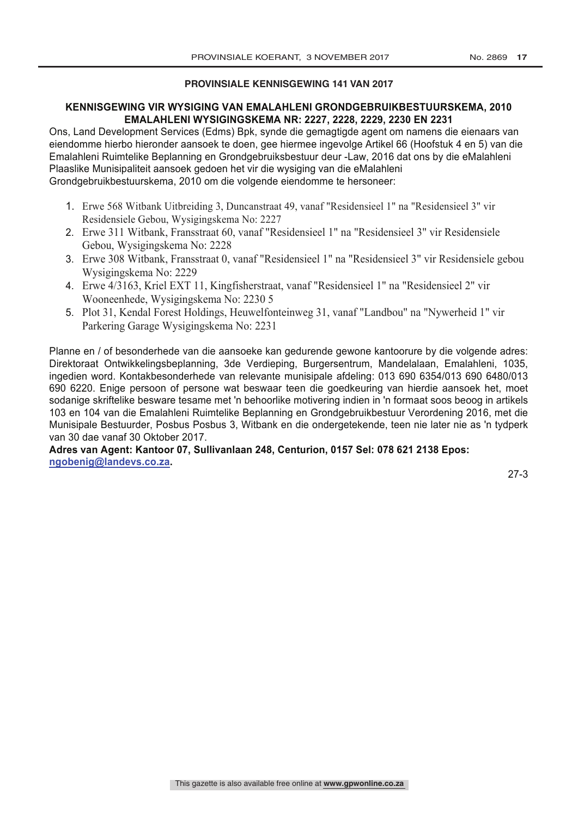## **PROVINSIALE KENNISGEWING 141 VAN 2017**

## **KENNISGEWING VIR WYSIGING VAN EMALAHLENI GRONDGEBRUIKBESTUURSKEMA, 2010 EMALAHLENI WYSIGINGSKEMA NR: 2227, 2228, 2229, 2230 EN 2231**

Ons, Land Development Services (Edms) Bpk, synde die gemagtigde agent om namens die eienaars van eiendomme hierbo hieronder aansoek te doen, gee hiermee ingevolge Artikel 66 (Hoofstuk 4 en 5) van die Emalahleni Ruimtelike Beplanning en Grondgebruiksbestuur deur -Law, 2016 dat ons by die eMalahleni Plaaslike Munisipaliteit aansoek gedoen het vir die wysiging van die eMalahleni Grondgebruikbestuurskema, 2010 om die volgende eiendomme te hersoneer:

- 1. Erwe 568 Witbank Uitbreiding 3, Duncanstraat 49, vanaf "Residensieel 1" na "Residensieel 3" vir Residensiele Gebou, Wysigingskema No: 2227
- 2. Erwe 311 Witbank, Fransstraat 60, vanaf "Residensieel 1" na "Residensieel 3" vir Residensiele Gebou, Wysigingskema No: 2228
- 3. Erwe 308 Witbank, Fransstraat 0, vanaf "Residensieel 1" na "Residensieel 3" vir Residensiele gebou Wysigingskema No: 2229
- 4. Erwe 4/3163, Kriel EXT 11, Kingfisherstraat, vanaf "Residensieel 1" na "Residensieel 2" vir Wooneenhede, Wysigingskema No: 2230 5
- 5. Plot 31, Kendal Forest Holdings, Heuwelfonteinweg 31, vanaf "Landbou" na "Nywerheid 1" vir Parkering Garage Wysigingskema No: 2231

Planne en / of besonderhede van die aansoeke kan gedurende gewone kantoorure by die volgende adres: Direktoraat Ontwikkelingsbeplanning, 3de Verdieping, Burgersentrum, Mandelalaan, Emalahleni, 1035, ingedien word. Kontakbesonderhede van relevante munisipale afdeling: 013 690 6354/013 690 6480/013 690 6220. Enige persoon of persone wat beswaar teen die goedkeuring van hierdie aansoek het, moet sodanige skriftelike besware tesame met 'n behoorlike motivering indien in 'n formaat soos beoog in artikels 103 en 104 van die Emalahleni Ruimtelike Beplanning en Grondgebruikbestuur Verordening 2016, met die Munisipale Bestuurder, Posbus Posbus 3, Witbank en die ondergetekende, teen nie later nie as 'n tydperk van 30 dae vanaf 30 Oktober 2017.

**Adres van Agent: Kantoor 07, Sullivanlaan 248, Centurion, 0157 Sel: 078 621 2138 Epos: ngobenig@landevs.co.za.**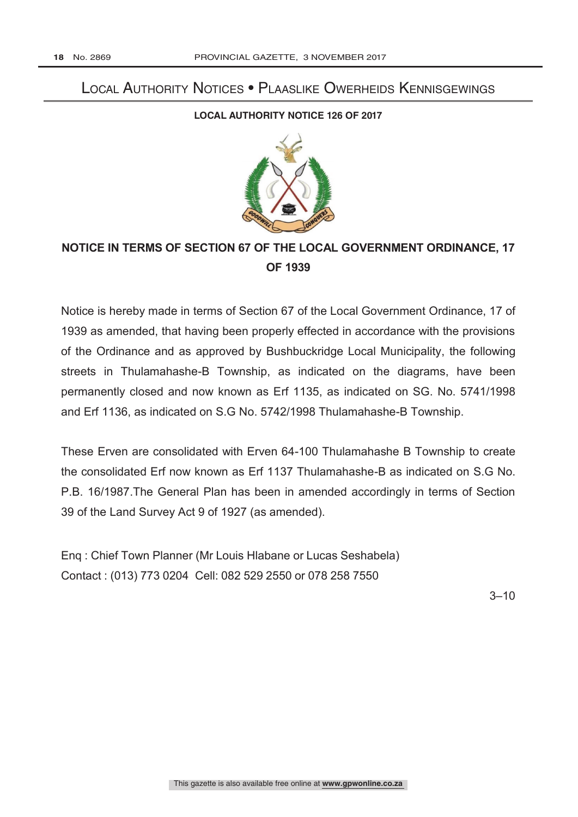# Local Authority Notices • Plaaslike Owerheids Kennisgewings

## **LOCAL AUTHORITY NOTICE 126 OF 2017**



## **NOTICE IN TERMS OF SECTION 67 OF THE LOCAL GOVERNMENT ORDINANCE, 17 OF 1939**

Notice is hereby made in terms of Section 67 of the Local Government Ordinance, 17 of 1939 as amended, that having been properly effected in accordance with the provisions of the Ordinance and as approved by Bushbuckridge Local Municipality, the following streets in Thulamahashe-B Township, as indicated on the diagrams, have been permanently closed and now known as Erf 1135, as indicated on SG. No. 5741/1998 and Erf 1136, as indicated on S.G No. 5742/1998 Thulamahashe-B Township.

These Erven are consolidated with Erven 64-100 Thulamahashe B Township to create the consolidated Erf now known as Erf 1137 Thulamahashe-B as indicated on S.G No. P.B. 16/1987.The General Plan has been in amended accordingly in terms of Section 39 of the Land Survey Act 9 of 1927 (as amended).

Enq : Chief Town Planner (Mr Louis Hlabane or Lucas Seshabela) Contact : (013) 773 0204 Cell: 082 529 2550 or 078 258 7550

3–10